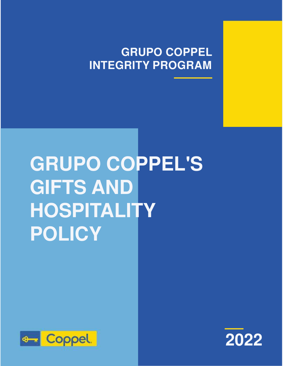# **GRUPO COPPEL INTEGRITY PROGRAM**

# **GRUPO COPPEL'S GIFTS AND HOSPITALITY POLICY**



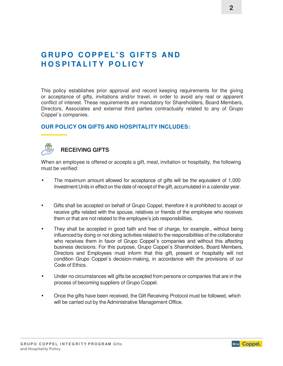## **GRUPO COPPEL'S GIFTS AND H O S PI TA L I T Y P O L I C Y**

This policy establishes prior approval and record keeping requirements for the giving or acceptance of gifts, invitations and/or travel, in order to avoid any real or apparent conflict of interest. These requirements are mandatory for Shareholders, Board Members, Directors, Associates and external third parties contractually related to any of Grupo Coppel´s companies.

#### **OUR POLICY ON GIFTS AND HOSPITALITY INCLUDES:**

### **RECEIVING GIFTS**

When an employee is offered or accepts a gift, meal, invitation or hospitality, the following must be verified:

- The maximum amount allowed for acceptance of gifts will be the equivalent of 1,000 Investment Units in effect on the date of receipt of the gift, accumulated in a calendar year.
- Gifts shall be accepted on behalf of Grupo Coppel, therefore it is prohibited to accept or receive gifts related with the spouse, relatives or friends of the employee who receives them or that are not related to the employee's job responsibilities.
- They shall be accepted in good faith and free of charge, for example., without being influenced by doing or not doing activities related to the responsibilities of the collaborator who receives them in favor of Grupo Coppel's companies and without this affecting business decisions. For this purpose, Grupo Coppel´s Shareholders, Board Members, Directors and Employees must inform that this gift, present or hospitality will not condition Grupo Coppel´s decision-making, in accordance with the provisions of our Code of Ethics.
- Under no circumstances will gifts be accepted from persons or companies that are in the process of becoming suppliers of Grupo Coppel.
- Once the gifts have been received, the Gift Receiving Protocol must be followed, which will be carried out by the Administrative Management Office.

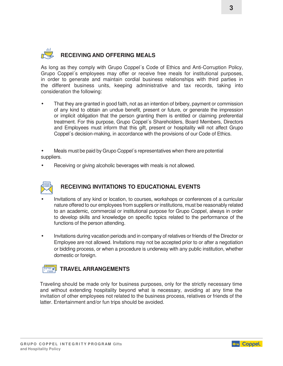## **RECEIVING AND OFFERING MEALS**

As long as they comply with Grupo Coppel´s Code of Ethics and Anti-Corruption Policy, Grupo Coppel´s employees may offer or receive free meals for institutional purposes, in order to generate and maintain cordial business relationships with third parties in the different business units, keeping administrative and tax records, taking into consideration the following:

• That they are granted in good faith, not as an intention of bribery, payment or commission of any kind to obtain an undue benefit, present or future, or generate the impression or implicit obligation that the person granting them is entitled or claiming preferential treatment. For this purpose, Grupo Coppel´s Shareholders, Board Members, Directors and Employees must inform that this gift, present or hospitality will not affect Grupo Coppel´s decision-making, in accordance with the provisions of our Code of Ethics.

• Meals must be paid by Grupo Coppel´s representatives when there are potential suppliers.

• Receiving or giving alcoholic beverages with meals is not allowed.



#### **RECEIVING INVITATIONS TO EDUCATIONAL EVENTS**

- Invitations of any kind or location, to courses, workshops or conferences of a curricular nature offered to our employees from suppliers or institutions, must be reasonably related to an academic, commercial or institutional purpose for Grupo Coppel, always in order to develop skills and knowledge on specific topics related to the performance of the functions of the person attending.
- Invitations during vacation periods and in company of relatives or friends of the Director or Employee are not allowed. Invitations may not be accepted prior to or after a negotiation or bidding process, or when a procedure is underway with any public institution, whether domestic or foreign.

#### **TRAVEL ARRANGEMENTS**

Traveling should be made only for business purposes, only for the strictly necessary time and without extending hospitality beyond what is necessary, avoiding at any time the invitation of other employees not related to the business process, relatives or friends of the latter. Entertainment and/or fun trips should be avoided.